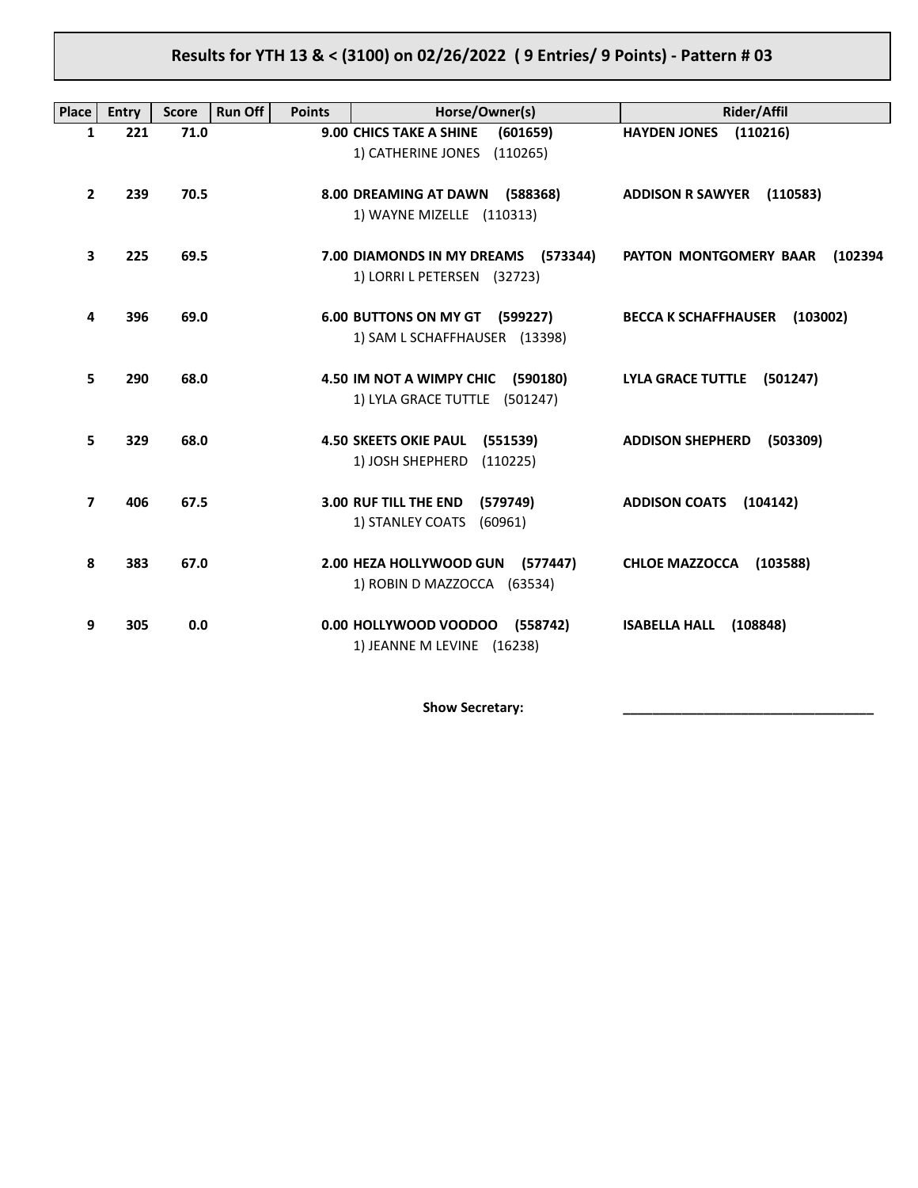# **Results for YTH 13 & < (3100) on 02/26/2022 ( 9 Entries/ 9 Points) - Pattern # 03**

| Place          | Entry | <b>Score</b> | <b>Run Off</b><br><b>Points</b> | Horse/Owner(s)                                                               | <b>Rider/Affil</b>                      |
|----------------|-------|--------------|---------------------------------|------------------------------------------------------------------------------|-----------------------------------------|
| $\mathbf{1}$   | 221   | 71.0         |                                 | <b>9.00 CHICS TAKE A SHINE</b><br>(601659)<br>1) CATHERINE JONES<br>(110265) | <b>HAYDEN JONES</b><br>(110216)         |
| $\overline{2}$ | 239   | 70.5         |                                 | 8.00 DREAMING AT DAWN (588368)<br>1) WAYNE MIZELLE (110313)                  | <b>ADDISON R SAWYER</b><br>(110583)     |
| 3              | 225   | 69.5         |                                 | 7.00 DIAMONDS IN MY DREAMS (573344)<br>1) LORRI L PETERSEN (32723)           | PAYTON MONTGOMERY BAAR<br>(102394       |
| 4              | 396   | 69.0         |                                 | 6.00 BUTTONS ON MY GT (599227)<br>1) SAM L SCHAFFHAUSER (13398)              | <b>BECCA K SCHAFFHAUSER</b><br>(103002) |
| 5              | 290   | 68.0         |                                 | 4.50 IM NOT A WIMPY CHIC (590180)<br>1) LYLA GRACE TUTTLE (501247)           | <b>LYLA GRACE TUTTLE</b><br>(501247)    |
| 5.             | 329   | 68.0         |                                 | <b>4.50 SKEETS OKIE PAUL</b><br>(551539)<br>1) JOSH SHEPHERD<br>(110225)     | <b>ADDISON SHEPHERD</b><br>(503309)     |
| $\overline{ }$ | 406   | 67.5         |                                 | 3.00 RUF TILL THE END<br>(579749)<br>1) STANLEY COATS<br>(60961)             | <b>ADDISON COATS</b><br>(104142)        |
| 8              | 383   | 67.0         |                                 | 2.00 HEZA HOLLYWOOD GUN<br>(577447)<br>1) ROBIN D MAZZOCCA (63534)           | <b>CHLOE MAZZOCCA</b><br>(103588)       |
| 9              | 305   | 0.0          |                                 | 0.00 HOLLYWOOD VOODOO<br>(558742)<br>1) JEANNE M LEVINE (16238)              | <b>ISABELLA HALL</b><br>(108848)        |

Show Secretary: